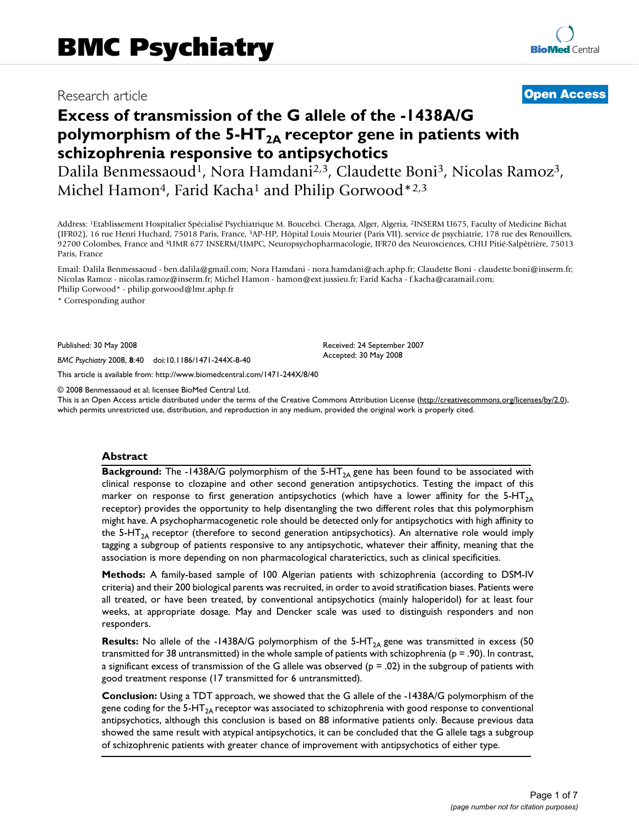# Research article **[Open Access](http://www.biomedcentral.com/info/about/charter/)**

# **Excess of transmission of the G allele of the -1438A/G**  polymorphism of the 5-HT<sub>2A</sub> receptor gene in patients with **schizophrenia responsive to antipsychotics**

Dalila Benmessaoud<sup>1</sup>, Nora Hamdani<sup>2,3</sup>, Claudette Boni<sup>3</sup>, Nicolas Ramoz<sup>3</sup>, Michel Hamon<sup>4</sup>, Farid Kacha<sup>1</sup> and Philip Gorwood<sup>\*2,3</sup>

Address: <sup>1</sup>Etablissement Hospitalier Spécialisé Psychiatrique M. Boucebci. Cheraga, Alger, Algeria, <sup>2</sup>INSERM U675, Faculty of Medicine Bichat (IFR02), 16 rue Henri Huchard, 75018 Paris, France, 3AP-HP, Hôpital Louis Mourier (Paris VII), service de psychiatrie, 178 rue des Renouillers, 92700 Colombes, France and 4UMR 677 INSERM/UMPC, Neuropsychopharmacologie, IFR70 des Neurosciences, CHU Pitié-Salpêtrière, 75013 Paris, France

Email: Dalila Benmessaoud - ben.dalila@gmail.com; Nora Hamdani - nora.hamdani@ach.aphp.fr; Claudette Boni - claudette.boni@inserm.fr; Nicolas Ramoz - nicolas.ramoz@inserm.fr; Michel Hamon - hamon@ext.jussieu.fr; Farid Kacha - f.kacha@caramail.com; Philip Gorwood\* - philip.gorwood@lmr.aphp.fr

> Received: 24 September 2007 Accepted: 30 May 2008

\* Corresponding author

Published: 30 May 2008

*BMC Psychiatry* 2008, **8**:40 doi:10.1186/1471-244X-8-40

[This article is available from: http://www.biomedcentral.com/1471-244X/8/40](http://www.biomedcentral.com/1471-244X/8/40)

© 2008 Benmessaoud et al; licensee BioMed Central Ltd.

This is an Open Access article distributed under the terms of the Creative Commons Attribution License [\(http://creativecommons.org/licenses/by/2.0\)](http://creativecommons.org/licenses/by/2.0), which permits unrestricted use, distribution, and reproduction in any medium, provided the original work is properly cited.

## **Abstract**

**Background:** The -1438A/G polymorphism of the 5-HT<sub>2A</sub> gene has been found to be associated with clinical response to clozapine and other second generation antipsychotics. Testing the impact of this marker on response to first generation antipsychotics (which have a lower affinity for the 5-HT<sub>2A</sub> receptor) provides the opportunity to help disentangling the two different roles that this polymorphism might have. A psychopharmacogenetic role should be detected only for antipsychotics with high affinity to the 5-HT<sub>2A</sub> receptor (therefore to second generation antipsychotics). An alternative role would imply tagging a subgroup of patients responsive to any antipsychotic, whatever their affinity, meaning that the association is more depending on non pharmacological charaterictics, such as clinical specificities.

**Methods:** A family-based sample of 100 Algerian patients with schizophrenia (according to DSM-IV criteria) and their 200 biological parents was recruited, in order to avoid stratification biases. Patients were all treated, or have been treated, by conventional antipsychotics (mainly haloperidol) for at least four weeks, at appropriate dosage. May and Dencker scale was used to distinguish responders and non responders.

**Results:** No allele of the -1438A/G polymorphism of the 5-HT<sub>2A</sub> gene was transmitted in excess (50 transmitted for 38 untransmitted) in the whole sample of patients with schizophrenia (p = .90). In contrast, a significant excess of transmission of the G allele was observed ( $p = .02$ ) in the subgroup of patients with good treatment response (17 transmitted for 6 untransmitted).

**Conclusion:** Using a TDT approach, we showed that the G allele of the -1438A/G polymorphism of the gene coding for the  $5-HT_{2A}$  receptor was associated to schizophrenia with good response to conventional antipsychotics, although this conclusion is based on 88 informative patients only. Because previous data showed the same result with atypical antipsychotics, it can be concluded that the G allele tags a subgroup of schizophrenic patients with greater chance of improvement with antipsychotics of either type.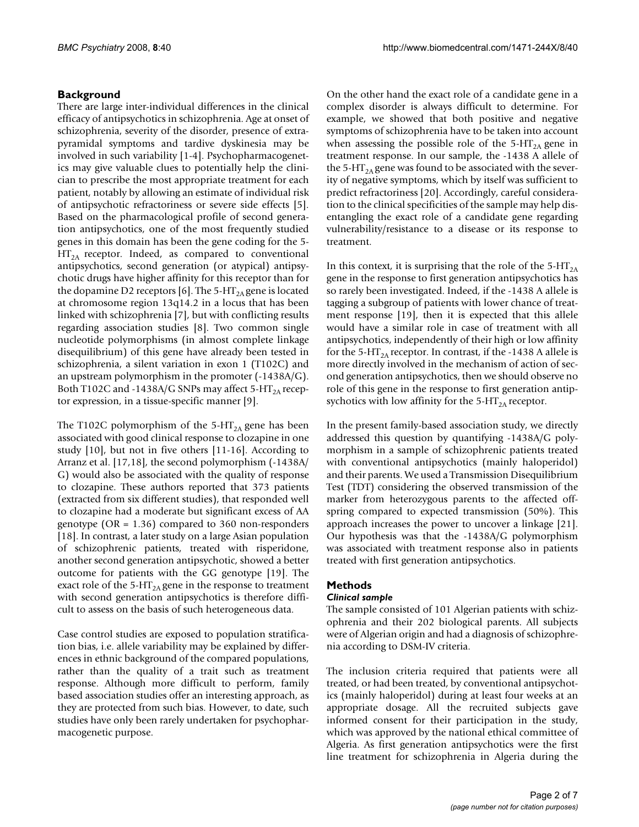# **Background**

There are large inter-individual differences in the clinical efficacy of antipsychotics in schizophrenia. Age at onset of schizophrenia, severity of the disorder, presence of extrapyramidal symptoms and tardive dyskinesia may be involved in such variability [1-4]. Psychopharmacogenetics may give valuable clues to potentially help the clinician to prescribe the most appropriate treatment for each patient, notably by allowing an estimate of individual risk of antipsychotic refractoriness or severe side effects [5]. Based on the pharmacological profile of second generation antipsychotics, one of the most frequently studied genes in this domain has been the gene coding for the 5-  $HT<sub>2A</sub>$  receptor. Indeed, as compared to conventional antipsychotics, second generation (or atypical) antipsychotic drugs have higher affinity for this receptor than for the dopamine D2 receptors [6]. The 5-HT<sub>2A</sub> gene is located at chromosome region 13q14.2 in a locus that has been linked with schizophrenia [7], but with conflicting results regarding association studies [8]. Two common single nucleotide polymorphisms (in almost complete linkage disequilibrium) of this gene have already been tested in schizophrenia, a silent variation in exon 1 (T102C) and an upstream polymorphism in the promoter (-1438A/G). Both T102C and -1438A/G SNPs may affect 5-HT<sub>2A</sub> receptor expression, in a tissue-specific manner [9].

The T102C polymorphism of the 5-HT<sub>2A</sub> gene has been associated with good clinical response to clozapine in one study [10], but not in five others [11-16]. According to Arranz et al. [[17,](#page-5-0)18], the second polymorphism (-1438A/ G) would also be associated with the quality of response to clozapine. These authors reported that 373 patients (extracted from six different studies), that responded well to clozapine had a moderate but significant excess of AA genotype (OR = 1.36) compared to 360 non-responders [18]. In contrast, a later study on a large Asian population of schizophrenic patients, treated with risperidone, another second generation antipsychotic, showed a better outcome for patients with the GG genotype [19]. The exact role of the 5-HT<sub>2A</sub> gene in the response to treatment with second generation antipsychotics is therefore difficult to assess on the basis of such heterogeneous data.

Case control studies are exposed to population stratification bias, i.e. allele variability may be explained by differences in ethnic background of the compared populations, rather than the quality of a trait such as treatment response. Although more difficult to perform, family based association studies offer an interesting approach, as they are protected from such bias. However, to date, such studies have only been rarely undertaken for psychopharmacogenetic purpose.

On the other hand the exact role of a candidate gene in a complex disorder is always difficult to determine. For example, we showed that both positive and negative symptoms of schizophrenia have to be taken into account when assessing the possible role of the 5-HT<sub>2A</sub> gene in treatment response. In our sample, the -1438 A allele of the 5-HT<sub>2A</sub> gene was found to be associated with the severity of negative symptoms, which by itself was sufficient to predict refractoriness [20]. Accordingly, careful consideration to the clinical specificities of the sample may help disentangling the exact role of a candidate gene regarding vulnerability/resistance to a disease or its response to treatment.

In this context, it is surprising that the role of the  $5-HT<sub>2A</sub>$ gene in the response to first generation antipsychotics has so rarely been investigated. Indeed, if the -1438 A allele is tagging a subgroup of patients with lower chance of treatment response [19], then it is expected that this allele would have a similar role in case of treatment with all antipsychotics, independently of their high or low affinity for the 5-HT<sub>2A</sub> receptor. In contrast, if the -1438 A allele is more directly involved in the mechanism of action of second generation antipsychotics, then we should observe no role of this gene in the response to first generation antipsychotics with low affinity for the  $5-HT<sub>2A</sub>$  receptor.

In the present family-based association study, we directly addressed this question by quantifying -1438A/G polymorphism in a sample of schizophrenic patients treated with conventional antipsychotics (mainly haloperidol) and their parents. We used a Transmission Disequilibrium Test (TDT) considering the observed transmission of the marker from heterozygous parents to the affected offspring compared to expected transmission (50%). This approach increases the power to uncover a linkage [21]. Our hypothesis was that the -1438A/G polymorphism was associated with treatment response also in patients treated with first generation antipsychotics.

# **Methods**

# *Clinical sample*

The sample consisted of 101 Algerian patients with schizophrenia and their 202 biological parents. All subjects were of Algerian origin and had a diagnosis of schizophrenia according to DSM-IV criteria.

The inclusion criteria required that patients were all treated, or had been treated, by conventional antipsychotics (mainly haloperidol) during at least four weeks at an appropriate dosage. All the recruited subjects gave informed consent for their participation in the study, which was approved by the national ethical committee of Algeria. As first generation antipsychotics were the first line treatment for schizophrenia in Algeria during the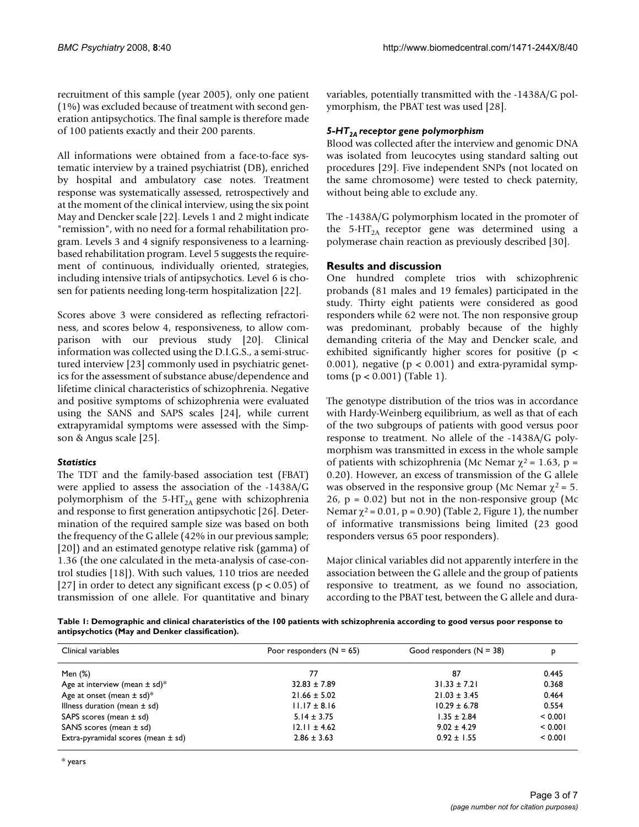recruitment of this sample (year 2005), only one patient (1%) was excluded because of treatment with second generation antipsychotics. The final sample is therefore made of 100 patients exactly and their 200 parents.

All informations were obtained from a face-to-face systematic interview by a trained psychiatrist (DB), enriched by hospital and ambulatory case notes. Treatment response was systematically assessed, retrospectively and at the moment of the clinical interview, using the six point May and Dencker scale [22]. Levels 1 and 2 might indicate "remission", with no need for a formal rehabilitation program. Levels 3 and 4 signify responsiveness to a learningbased rehabilitation program. Level 5 suggests the requirement of continuous, individually oriented, strategies, including intensive trials of antipsychotics. Level 6 is chosen for patients needing long-term hospitalization [22].

Scores above 3 were considered as reflecting refractoriness, and scores below 4, responsiveness, to allow comparison with our previous study [20]. Clinical information was collected using the D.I.G.S., a semi-structured interview [23] commonly used in psychiatric genetics for the assessment of substance abuse/dependence and lifetime clinical characteristics of schizophrenia. Negative and positive symptoms of schizophrenia were evaluated using the SANS and SAPS scales [24], while current extrapyramidal symptoms were assessed with the Simpson & Angus scale [25].

# *Statistics*

The TDT and the family-based association test (FBAT) were applied to assess the association of the -1438A/G polymorphism of the 5-HT<sub>2A</sub> gene with schizophrenia and response to first generation antipsychotic [26]. Determination of the required sample size was based on both the frequency of the G allele (42% in our previous sample; [20]) and an estimated genotype relative risk (gamma) of 1.36 (the one calculated in the meta-analysis of case-control studies [18]). With such values, 110 trios are needed [27] in order to detect any significant excess ( $p < 0.05$ ) of transmission of one allele. For quantitative and binary variables, potentially transmitted with the -1438A/G polymorphism, the PBAT test was used [28].

# *5-HT2A receptor gene polymorphism*

Blood was collected after the interview and genomic DNA was isolated from leucocytes using standard salting out procedures [29]. Five independent SNPs (not located on the same chromosome) were tested to check paternity, without being able to exclude any.

The -1438A/G polymorphism located in the promoter of the 5-HT<sub>2A</sub> receptor gene was determined using a polymerase chain reaction as previously described [\[30](#page-6-0)].

# **Results and discussion**

One hundred complete trios with schizophrenic probands (81 males and 19 females) participated in the study. Thirty eight patients were considered as good responders while 62 were not. The non responsive group was predominant, probably because of the highly demanding criteria of the May and Dencker scale, and exhibited significantly higher scores for positive (p < 0.001), negative ( $p < 0.001$ ) and extra-pyramidal symptoms (p < 0.001) (Table 1).

The genotype distribution of the trios was in accordance with Hardy-Weinberg equilibrium, as well as that of each of the two subgroups of patients with good versus poor response to treatment. No allele of the -1438A/G polymorphism was transmitted in excess in the whole sample of patients with schizophrenia (Mc Nemar  $\chi^2$  = 1.63, p = 0.20). However, an excess of transmission of the G allele was observed in the responsive group (Mc Nemar  $\chi^2 = 5$ .  $26$ ,  $p = 0.02$ ) but not in the non-responsive group (Mc Nemar  $\chi^2$  = 0.01, p = 0.90) (Table 2, Figure 1), the number of informative transmissions being limited (23 good responders versus 65 poor responders).

Major clinical variables did not apparently interfere in the association between the G allele and the group of patients responsive to treatment, as we found no association, according to the PBAT test, between the G allele and dura-

**Table 1: Demographic and clinical charateristics of the 100 patients with schizophrenia according to good versus poor response to antipsychotics (May and Denker classification).**

| Clinical variables                            | Poor responders $(N = 65)$ | Good responders $(N = 38)$ | D       |
|-----------------------------------------------|----------------------------|----------------------------|---------|
| Men (%)                                       | 77                         | 87                         | 0.445   |
| Age at interview (mean $\pm$ sd) <sup>*</sup> | $32.83 \pm 7.89$           | $31.33 \pm 7.21$           | 0.368   |
| Age at onset (mean $\pm$ sd)*                 | $21.66 \pm 5.02$           | $21.03 \pm 3.45$           | 0.464   |
| Illness duration (mean $\pm$ sd)              | $11.17 \pm 8.16$           | $10.29 \pm 6.78$           | 0.554   |
| SAPS scores (mean $\pm$ sd)                   | $5.14 \pm 3.75$            | $1.35 \pm 2.84$            | < 0.001 |
| SANS scores (mean $\pm$ sd)                   | $12.11 \pm 4.62$           | $9.02 \pm 4.29$            | < 0.001 |
| Extra-pyramidal scores (mean $\pm$ sd)        | $2.86 \pm 3.63$            | $0.92 \pm 1.55$            | < 0.001 |

\* years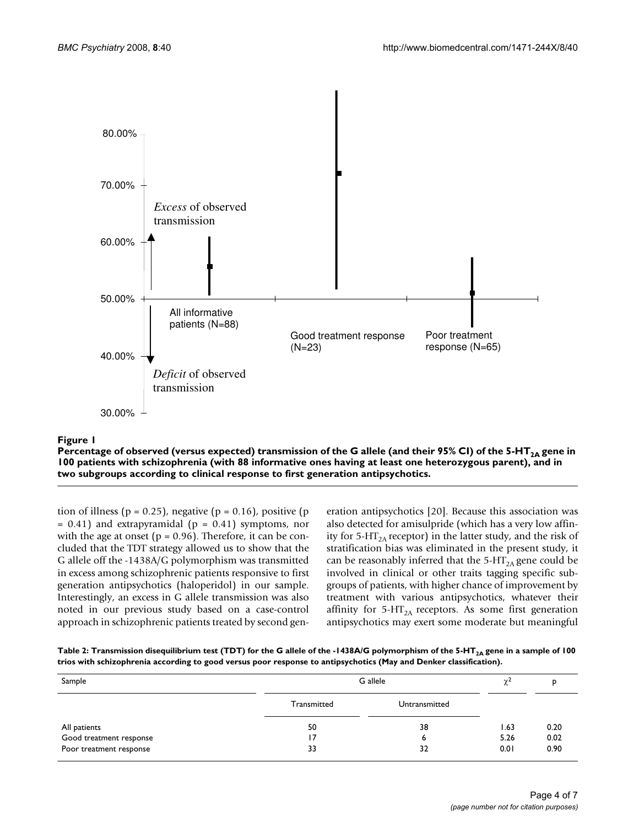

**Expansion Communication Communication Communication Communication Communication Communication Percentage of observed (versus expected) transmission of the G allele (and their 95% CI) of the 5-HT<sub>2A</sub> gene in 100 patients with schizophrenia (with 88 informative ones having at least one heterozygous parent), and in two subgroups according to clinical response to first generation antipsychotics.**

tion of illness ( $p = 0.25$ ), negative ( $p = 0.16$ ), positive ( $p = 0.16$ )  $= 0.41$ ) and extrapyramidal ( $p = 0.41$ ) symptoms, nor with the age at onset ( $p = 0.96$ ). Therefore, it can be concluded that the TDT strategy allowed us to show that the G allele off the -1438A/G polymorphism was transmitted in excess among schizophrenic patients responsive to first generation antipsychotics (haloperidol) in our sample. Interestingly, an excess in G allele transmission was also noted in our previous study based on a case-control approach in schizophrenic patients treated by second generation antipsychotics [20]. Because this association was also detected for amisulpride (which has a very low affinity for 5-HT<sub>2A</sub> receptor) in the latter study, and the risk of stratification bias was eliminated in the present study, it can be reasonably inferred that the  $5-HT<sub>2A</sub>$  gene could be involved in clinical or other traits tagging specific subgroups of patients, with higher chance of improvement by treatment with various antipsychotics, whatever their affinity for 5-HT<sub>2A</sub> receptors. As some first generation antipsychotics may exert some moderate but meaningful

| Table 2: Transmission disequilibrium test (TDT) for the G allele of the -1438A/G polymorphism of the 5-HT <sub>24</sub> gene in a sample of 100 |  |
|-------------------------------------------------------------------------------------------------------------------------------------------------|--|
| trios with schizophrenia according to good versus poor response to antipsychotics (May and Denker classification).                              |  |

| Sample                  | G allele    |               | $\gamma$ <sup>2</sup> |      |
|-------------------------|-------------|---------------|-----------------------|------|
|                         | Transmitted | Untransmitted |                       |      |
| All patients            | 50          | 38            | 1.63                  | 0.20 |
| Good treatment response |             | ь             | 5.26                  | 0.02 |
| Poor treatment response | 33          | 32            | 0.01                  | 0.90 |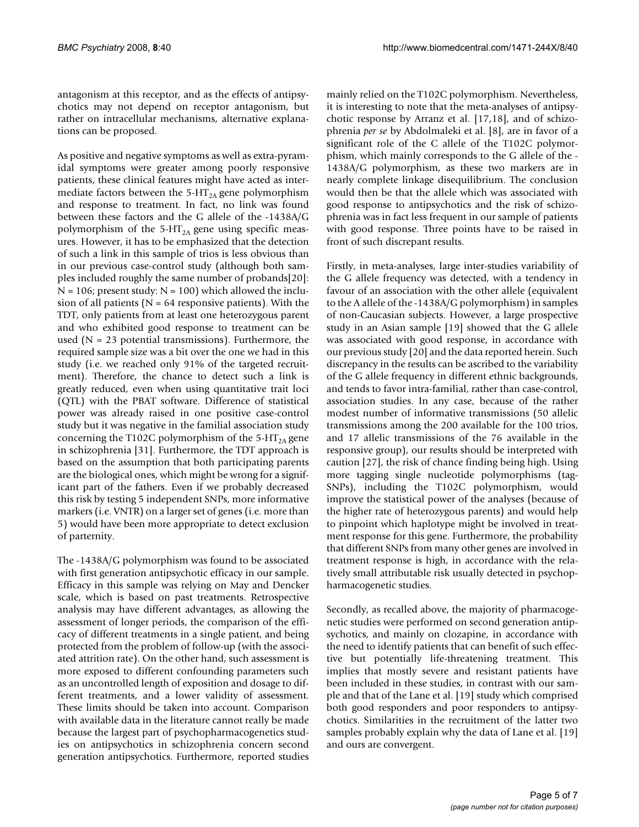antagonism at this receptor, and as the effects of antipsychotics may not depend on receptor antagonism, but rather on intracellular mechanisms, alternative explanations can be proposed.

As positive and negative symptoms as well as extra-pyramidal symptoms were greater among poorly responsive patients, these clinical features might have acted as intermediate factors between the  $5-HT<sub>2A</sub>$  gene polymorphism and response to treatment. In fact, no link was found between these factors and the G allele of the -1438A/G polymorphism of the  $5-HT<sub>2A</sub>$  gene using specific measures. However, it has to be emphasized that the detection of such a link in this sample of trios is less obvious than in our previous case-control study (although both samples included roughly the same number of probands[20]:  $N = 106$ ; present study:  $N = 100$ ) which allowed the inclusion of all patients ( $N = 64$  responsive patients). With the TDT, only patients from at least one heterozygous parent and who exhibited good response to treatment can be used  $(N = 23$  potential transmissions). Furthermore, the required sample size was a bit over the one we had in this study (i.e. we reached only 91% of the targeted recruitment). Therefore, the chance to detect such a link is greatly reduced, even when using quantitative trait loci (QTL) with the PBAT software. Difference of statistical power was already raised in one positive case-control study but it was negative in the familial association study concerning the T102C polymorphism of the 5-HT<sub>2A</sub> gene in schizophrenia [31]. Furthermore, the TDT approach is based on the assumption that both participating parents are the biological ones, which might be wrong for a significant part of the fathers. Even if we probably decreased this risk by testing 5 independent SNPs, more informative markers (i.e. VNTR) on a larger set of genes (i.e. more than 5) would have been more appropriate to detect exclusion of parternity.

The -1438A/G polymorphism was found to be associated with first generation antipsychotic efficacy in our sample. Efficacy in this sample was relying on May and Dencker scale, which is based on past treatments. Retrospective analysis may have different advantages, as allowing the assessment of longer periods, the comparison of the efficacy of different treatments in a single patient, and being protected from the problem of follow-up (with the associated attrition rate). On the other hand, such assessment is more exposed to different confounding parameters such as an uncontrolled length of exposition and dosage to different treatments, and a lower validity of assessment. These limits should be taken into account. Comparison with available data in the literature cannot really be made because the largest part of psychopharmacogenetics studies on antipsychotics in schizophrenia concern second generation antipsychotics. Furthermore, reported studies

mainly relied on the T102C polymorphism. Nevertheless, it is interesting to note that the meta-analyses of antipsychotic response by Arranz et al. [[17,](#page-5-0)18], and of schizophrenia *per se* by Abdolmaleki et al. [8], are in favor of a significant role of the C allele of the T102C polymorphism, which mainly corresponds to the G allele of the - 1438A/G polymorphism, as these two markers are in nearly complete linkage disequilibrium. The conclusion would then be that the allele which was associated with good response to antipsychotics and the risk of schizophrenia was in fact less frequent in our sample of patients with good response. Three points have to be raised in front of such discrepant results.

Firstly, in meta-analyses, large inter-studies variability of the G allele frequency was detected, with a tendency in favour of an association with the other allele (equivalent to the A allele of the -1438A/G polymorphism) in samples of non-Caucasian subjects. However, a large prospective study in an Asian sample [19] showed that the G allele was associated with good response, in accordance with our previous study [20] and the data reported herein. Such discrepancy in the results can be ascribed to the variability of the G allele frequency in different ethnic backgrounds, and tends to favor intra-familial, rather than case-control, association studies. In any case, because of the rather modest number of informative transmissions (50 allelic transmissions among the 200 available for the 100 trios, and 17 allelic transmissions of the 76 available in the responsive group), our results should be interpreted with caution [27], the risk of chance finding being high. Using more tagging single nucleotide polymorphisms (tag-SNPs), including the T102C polymorphism, would improve the statistical power of the analyses (because of the higher rate of heterozygous parents) and would help to pinpoint which haplotype might be involved in treatment response for this gene. Furthermore, the probability that different SNPs from many other genes are involved in treatment response is high, in accordance with the relatively small attributable risk usually detected in psychopharmacogenetic studies.

Secondly, as recalled above, the majority of pharmacogenetic studies were performed on second generation antipsychotics, and mainly on clozapine, in accordance with the need to identify patients that can benefit of such effective but potentially life-threatening treatment. This implies that mostly severe and resistant patients have been included in these studies, in contrast with our sample and that of the Lane et al. [19] study which comprised both good responders and poor responders to antipsychotics. Similarities in the recruitment of the latter two samples probably explain why the data of Lane et al. [19] and ours are convergent.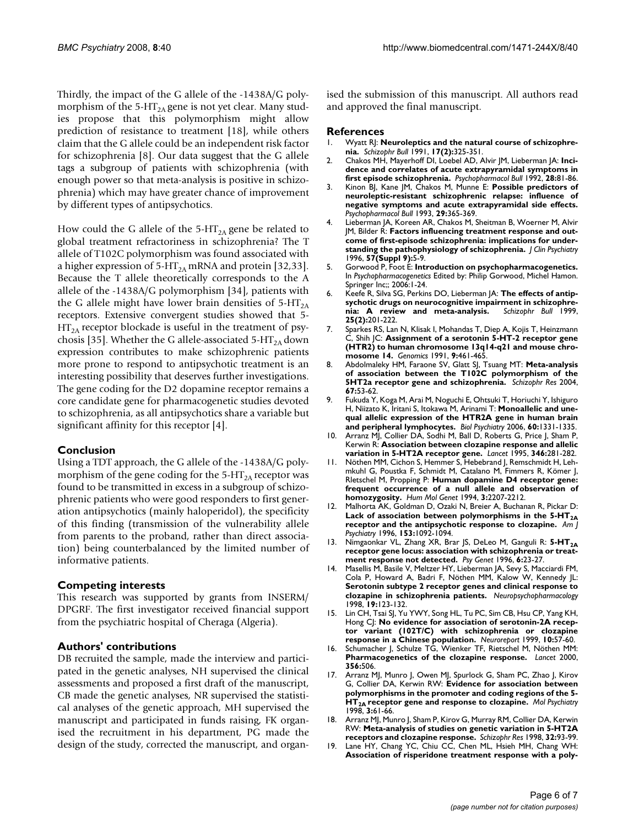Thirdly, the impact of the G allele of the -1438A/G polymorphism of the 5-HT<sub>2A</sub> gene is not yet clear. Many studies propose that this polymorphism might allow prediction of resistance to treatment [18], while others claim that the G allele could be an independent risk factor for schizophrenia [8]. Our data suggest that the G allele tags a subgroup of patients with schizophrenia (with enough power so that meta-analysis is positive in schizophrenia) which may have greater chance of improvement by different types of antipsychotics.

How could the G allele of the 5-HT<sub>2A</sub> gene be related to global treatment refractoriness in schizophrenia? The T allele of T102C polymorphism was found associated with a higher expression of  $5-HT<sub>2A</sub>$  mRNA and protein [32,33]. Because the T allele theoretically corresponds to the A allele of the -1438A/G polymorphism [34], patients with the G allele might have lower brain densities of  $5-HT<sub>2A</sub>$ receptors. Extensive convergent studies showed that 5-  $HT<sub>2A</sub>$  receptor blockade is useful in the treatment of psychosis [35]. Whether the G allele-associated 5-HT<sub>2A</sub> down expression contributes to make schizophrenic patients more prone to respond to antipsychotic treatment is an interesting possibility that deserves further investigations. The gene coding for the D2 dopamine receptor remains a core candidate gene for pharmacogenetic studies devoted to schizophrenia, as all antipsychotics share a variable but significant affinity for this receptor [4].

## **Conclusion**

Using a TDT approach, the G allele of the -1438A/G polymorphism of the gene coding for the  $5-HT<sub>2A</sub>$  receptor was found to be transmitted in excess in a subgroup of schizophrenic patients who were good responders to first generation antipsychotics (mainly haloperidol), the specificity of this finding (transmission of the vulnerability allele from parents to the proband, rather than direct association) being counterbalanced by the limited number of informative patients.

## **Competing interests**

This research was supported by grants from INSERM/ DPGRF. The first investigator received financial support from the psychiatric hospital of Cheraga (Algeria).

## **Authors' contributions**

DB recruited the sample, made the interview and participated in the genetic analyses, NH supervised the clinical assessments and proposed a first draft of the manuscript, CB made the genetic analyses, NR supervised the statistical analyses of the genetic approach, MH supervised the manuscript and participated in funds raising, FK organised the recruitment in his department, PG made the design of the study, corrected the manuscript, and organised the submission of this manuscript. All authors read and approved the final manuscript.

#### **References**

- 1. Wyatt RJ: **[Neuroleptics and the natural course of schizophre](http://www.ncbi.nlm.nih.gov/entrez/query.fcgi?cmd=Retrieve&db=PubMed&dopt=Abstract&list_uids=1679255)[nia.](http://www.ncbi.nlm.nih.gov/entrez/query.fcgi?cmd=Retrieve&db=PubMed&dopt=Abstract&list_uids=1679255)** *Schizophr Bull* 1991, **17(2):**325-351.
- 2. Chakos MH, Mayerhoff DI, Loebel AD, Alvir JM, Lieberman JA: **[Inci](http://www.ncbi.nlm.nih.gov/entrez/query.fcgi?cmd=Retrieve&db=PubMed&dopt=Abstract&list_uids=1609046)[dence and correlates of acute extrapyramidal symptoms in](http://www.ncbi.nlm.nih.gov/entrez/query.fcgi?cmd=Retrieve&db=PubMed&dopt=Abstract&list_uids=1609046) [first episode schizophrenia.](http://www.ncbi.nlm.nih.gov/entrez/query.fcgi?cmd=Retrieve&db=PubMed&dopt=Abstract&list_uids=1609046)** *Psychopharmacol Bull* 1992, **28:**81-86.
- 3. Kinon BJ, Kane JM, Chakos M, Munne E: **[Possible predictors of](http://www.ncbi.nlm.nih.gov/entrez/query.fcgi?cmd=Retrieve&db=PubMed&dopt=Abstract&list_uids=7907184) neuroleptic-resistant schizophrenic relapse: influence of [negative symptoms and acute extrapyramidal side effects.](http://www.ncbi.nlm.nih.gov/entrez/query.fcgi?cmd=Retrieve&db=PubMed&dopt=Abstract&list_uids=7907184)** *Psychopharmacol Bull* 1993, **29:**365-369.
- 4. Lieberman JA, Koreen AR, Chakos M, Sheitman B, Woerner M, Alvir JM, Bilder R: **[Factors influencing treatment response and out](http://www.ncbi.nlm.nih.gov/entrez/query.fcgi?cmd=Retrieve&db=PubMed&dopt=Abstract&list_uids=8823344)[come of first-episode schizophrenia: implications for under](http://www.ncbi.nlm.nih.gov/entrez/query.fcgi?cmd=Retrieve&db=PubMed&dopt=Abstract&list_uids=8823344)[standing the pathophysiology of schizophrenia.](http://www.ncbi.nlm.nih.gov/entrez/query.fcgi?cmd=Retrieve&db=PubMed&dopt=Abstract&list_uids=8823344)** *J Clin Psychiatry* 1996, **57(Suppl 9):**5-9.
- 5. Gorwood P, Foot E: **Introduction on psychopharmacogenetics.** In *Psychopharmacogenetics* Edited by: Philip Gorwood, Michel Hamon. Springer Inc;; 2006:1-24.
- 6. Keefe R, Silva SG, Perkins DO, Lieberman JA: **[The effects of antip](http://www.ncbi.nlm.nih.gov/entrez/query.fcgi?cmd=Retrieve&db=PubMed&dopt=Abstract&list_uids=10416727)sychotic drugs on neurocognitive impairment in schizophre-<br>
<b>nia:** A review and meta-analysis. Schizophr Bull 1999. [nia: A review and meta-analysis.](http://www.ncbi.nlm.nih.gov/entrez/query.fcgi?cmd=Retrieve&db=PubMed&dopt=Abstract&list_uids=10416727) **25(2):**201-222.
- 7. Sparkes RS, Lan N, Klisak I, Mohandas T, Diep A, Kojis T, Heinzmann C, Shih JC: **[Assignment of a serotonin 5-HT-2 receptor gene](http://www.ncbi.nlm.nih.gov/entrez/query.fcgi?cmd=Retrieve&db=PubMed&dopt=Abstract&list_uids=2032718) [\(HTR2\) to human chromosome 13q14-q21 and mouse chro](http://www.ncbi.nlm.nih.gov/entrez/query.fcgi?cmd=Retrieve&db=PubMed&dopt=Abstract&list_uids=2032718)[mosome 14.](http://www.ncbi.nlm.nih.gov/entrez/query.fcgi?cmd=Retrieve&db=PubMed&dopt=Abstract&list_uids=2032718)** *Genomics* 1991, **9:**461-465.
- 8. Abdolmaleky HM, Faraone SV, Glatt SJ, Tsuang MT: **[Meta-analysis](http://www.ncbi.nlm.nih.gov/entrez/query.fcgi?cmd=Retrieve&db=PubMed&dopt=Abstract&list_uids=14741324) [of association between the T102C polymorphism of the](http://www.ncbi.nlm.nih.gov/entrez/query.fcgi?cmd=Retrieve&db=PubMed&dopt=Abstract&list_uids=14741324) [5HT2a receptor gene and schizophrenia.](http://www.ncbi.nlm.nih.gov/entrez/query.fcgi?cmd=Retrieve&db=PubMed&dopt=Abstract&list_uids=14741324)** *Schizophr Res* 2004, **67:**53-62.
- 9. Fukuda Y, Koga M, Arai M, Noguchi E, Ohtsuki T, Horiuchi Y, Ishiguro H, Niizato K, Iritani S, Itokawa M, Arinami T: **[Monoallelic and une](http://www.ncbi.nlm.nih.gov/entrez/query.fcgi?cmd=Retrieve&db=PubMed&dopt=Abstract&list_uids=17069769)[qual allelic expression of the HTR2A gene in human brain](http://www.ncbi.nlm.nih.gov/entrez/query.fcgi?cmd=Retrieve&db=PubMed&dopt=Abstract&list_uids=17069769) [and peripheral lymphocytes.](http://www.ncbi.nlm.nih.gov/entrez/query.fcgi?cmd=Retrieve&db=PubMed&dopt=Abstract&list_uids=17069769)** *Biol Psychiatry* 2006, **60:**1331-1335.
- 10. Arranz MJ, Collier DA, Sodhi M, Ball D, Roberts G, Price J, Sham P, Kerwin R: **[Association between clozapine response and allelic](http://www.ncbi.nlm.nih.gov/entrez/query.fcgi?cmd=Retrieve&db=PubMed&dopt=Abstract&list_uids=7630250) [variation in 5-HT2A receptor gene.](http://www.ncbi.nlm.nih.gov/entrez/query.fcgi?cmd=Retrieve&db=PubMed&dopt=Abstract&list_uids=7630250)** *Lancet* 1995, **346:**281-282.
- 11. Nöthen MM, Cichon S, Hemmer S, Hebebrand J, Remschmidt H, Lehmkuhl G, Poustka F, Schmidt M, Catalano M, Fimmers R, Kömer J, Rletschel M, Propping P: **[Human dopamine D4 receptor gene:](http://www.ncbi.nlm.nih.gov/entrez/query.fcgi?cmd=Retrieve&db=PubMed&dopt=Abstract&list_uids=7881421) [frequent occurrence of a null allele and observation of](http://www.ncbi.nlm.nih.gov/entrez/query.fcgi?cmd=Retrieve&db=PubMed&dopt=Abstract&list_uids=7881421) [homozygosity.](http://www.ncbi.nlm.nih.gov/entrez/query.fcgi?cmd=Retrieve&db=PubMed&dopt=Abstract&list_uids=7881421)** *Hum Mol Genet* 1994, **3:**2207-2212.
- 12. Malhorta AK, Goldman D, Ozaki N, Breier A, Buchanan R, Pickar D: Lack of association between polymorphisms in the 5-HT<sub>2A</sub> **[receptor and the antipsychotic response to clozapine.](http://www.ncbi.nlm.nih.gov/entrez/query.fcgi?cmd=Retrieve&db=PubMed&dopt=Abstract&list_uids=8678181)** *Am J Psychiatry* 1996, **153:**1092-1094.
- 13. Nimgaonkar VL, Zhang XR, Brar JS, DeLeo M, Ganguli R: 5-HT<sub>2A</sub> **receptor gene locus: association with schizophrenia or treatment response not detected.** *Psy Genet* 1996, **6:**23-27.
- 14. Masellis M, Basile V, Meltzer HY, Lieberman JA, Sevy S, Macciardi FM, Cola P, Howard A, Badri F, Nöthen MM, Kalow W, Kennedy JL: **[Serotonin subtype 2 receptor genes and clinical response to](http://www.ncbi.nlm.nih.gov/entrez/query.fcgi?cmd=Retrieve&db=PubMed&dopt=Abstract&list_uids=9629566) [clozapine in schizophrenia patients.](http://www.ncbi.nlm.nih.gov/entrez/query.fcgi?cmd=Retrieve&db=PubMed&dopt=Abstract&list_uids=9629566)** *Neuropsychopharmacology* 1998, **19:**123-132.
- 15. Lin CH, Tsai SJ, Yu YWY, Song HL, Tu PC, Sim CB, Hsu CP, Yang KH, Hong CJ: **[No evidence for association of serotonin-2A recep](http://www.ncbi.nlm.nih.gov/entrez/query.fcgi?cmd=Retrieve&db=PubMed&dopt=Abstract&list_uids=10094133)[tor variant \(102T/C\) with schizophrenia or clozapine](http://www.ncbi.nlm.nih.gov/entrez/query.fcgi?cmd=Retrieve&db=PubMed&dopt=Abstract&list_uids=10094133) [response in a Chinese population.](http://www.ncbi.nlm.nih.gov/entrez/query.fcgi?cmd=Retrieve&db=PubMed&dopt=Abstract&list_uids=10094133)** *Neuroreport* 1999, **10:**57-60.
- 16. Schumacher J, Schulze TG, Wienker TF, Rietschel M, Nöthen MM: **[Pharmacogenetics of the clozapine response.](http://www.ncbi.nlm.nih.gov/entrez/query.fcgi?cmd=Retrieve&db=PubMed&dopt=Abstract&list_uids=10981913)** *Lancet* 2000, **356:**506.
- <span id="page-5-0"></span>17. Arranz MJ, Munro J, Owen MJ, Spurlock G, Sham PC, Zhao J, Kirov G, Collier DA, Kerwin RW: **Evidence for association between polymorphisms in the promoter and coding regions of the 5- HT2A [receptor gene and response to clozapine.](http://www.ncbi.nlm.nih.gov/entrez/query.fcgi?cmd=Retrieve&db=PubMed&dopt=Abstract&list_uids=9491814)** *Mol Psychiatry* 1998, **3:**61-66.
- 18. Arranz MJ, Munro J, Sham P, Kirov G, Murray RM, Collier DA, Kerwin RW: **[Meta-analysis of studies on genetic variation in 5-HT2A](http://www.ncbi.nlm.nih.gov/entrez/query.fcgi?cmd=Retrieve&db=PubMed&dopt=Abstract&list_uids=9713904) [receptors and clozapine response.](http://www.ncbi.nlm.nih.gov/entrez/query.fcgi?cmd=Retrieve&db=PubMed&dopt=Abstract&list_uids=9713904)** *Schizophr Res* 1998, **32:**93-99.
- 19. Lane HY, Chang YC, Chiu CC, Chen ML, Hsieh MH, Chang WH: **[Association of risperidone treatment response with a poly](http://www.ncbi.nlm.nih.gov/entrez/query.fcgi?cmd=Retrieve&db=PubMed&dopt=Abstract&list_uids=12202283)-**